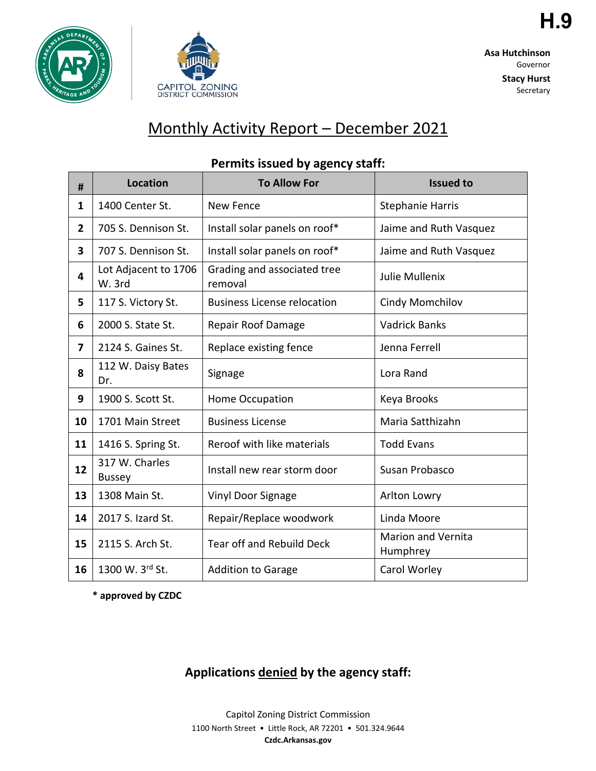



**Asa Hutchinson** Governor

> **Stacy Hurst** Secretary

# Monthly Activity Report – December 2021

| #            | <b>Location</b>                 | <b>To Allow For</b>                    | <b>Issued to</b>                      |
|--------------|---------------------------------|----------------------------------------|---------------------------------------|
| 1            | 1400 Center St.                 | <b>New Fence</b>                       | <b>Stephanie Harris</b>               |
| $\mathbf{2}$ | 705 S. Dennison St.             | Install solar panels on roof*          | Jaime and Ruth Vasquez                |
| 3            | 707 S. Dennison St.             | Install solar panels on roof*          | Jaime and Ruth Vasquez                |
| 4            | Lot Adjacent to 1706<br>W. 3rd  | Grading and associated tree<br>removal | Julie Mullenix                        |
| 5            | 117 S. Victory St.              | <b>Business License relocation</b>     | Cindy Momchilov                       |
| 6            | 2000 S. State St.               | <b>Repair Roof Damage</b>              | <b>Vadrick Banks</b>                  |
| 7            | 2124 S. Gaines St.              | Replace existing fence                 | Jenna Ferrell                         |
| 8            | 112 W. Daisy Bates<br>Dr.       | Signage                                | Lora Rand                             |
| 9            | 1900 S. Scott St.               | Home Occupation                        | Keya Brooks                           |
| 10           | 1701 Main Street                | <b>Business License</b>                | Maria Satthizahn                      |
| 11           | 1416 S. Spring St.              | Reroof with like materials             | <b>Todd Evans</b>                     |
| 12           | 317 W. Charles<br><b>Bussey</b> | Install new rear storm door            | Susan Probasco                        |
| 13           | 1308 Main St.                   | Vinyl Door Signage                     | Arlton Lowry                          |
| 14           | 2017 S. Izard St.               | Repair/Replace woodwork                | Linda Moore                           |
| 15           | 2115 S. Arch St.                | Tear off and Rebuild Deck              | <b>Marion and Vernita</b><br>Humphrey |
| 16           | 1300 W. 3rd St.                 | <b>Addition to Garage</b>              | Carol Worley                          |

## **Permits issued by agency staff:**

**\* approved by CZDC**

## **Applications denied by the agency staff:**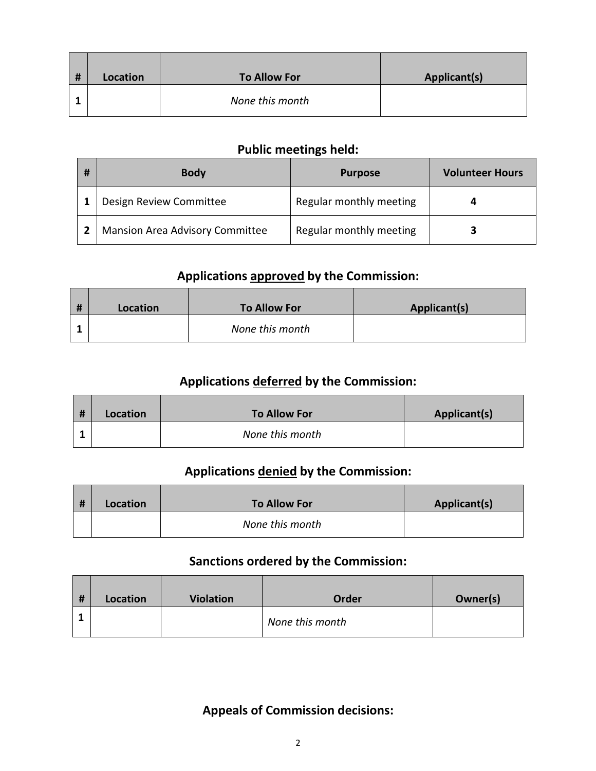| # | Location | To Allow For    | Applicant(s) |
|---|----------|-----------------|--------------|
|   |          | None this month |              |

#### **Public meetings held:**

| # | <b>Body</b>                            | <b>Purpose</b>          | <b>Volunteer Hours</b> |
|---|----------------------------------------|-------------------------|------------------------|
|   | Design Review Committee                | Regular monthly meeting |                        |
|   | <b>Mansion Area Advisory Committee</b> | Regular monthly meeting |                        |

## **Applications approved by the Commission:**

| Location | <b>To Allow For</b> | Applicant(s) |
|----------|---------------------|--------------|
|          | None this month     |              |

## **Applications deferred by the Commission:**

| <b>H</b> | Location | <b>To Allow For</b> | Applicant(s) |
|----------|----------|---------------------|--------------|
|          |          | None this month     |              |

#### **Applications denied by the Commission:**

| # | Location | <b>To Allow For</b> | Applicant(s) |
|---|----------|---------------------|--------------|
|   |          | None this month     |              |

#### **Sanctions ordered by the Commission:**

| # | Location | <b>Violation</b> | Order           | Owner(s) |
|---|----------|------------------|-----------------|----------|
|   |          |                  | None this month |          |

#### **Appeals of Commission decisions:**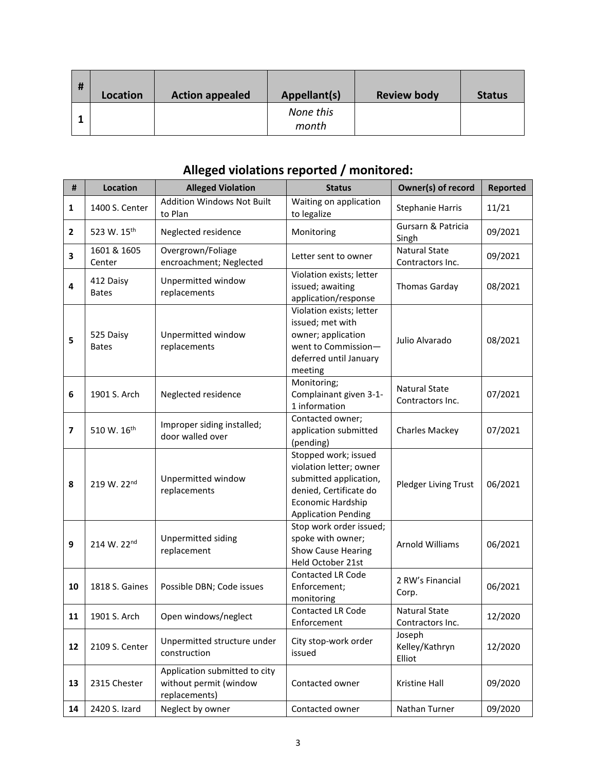| # | Location | <b>Action appealed</b> | Appellant(s)       | <b>Review body</b> | <b>Status</b> |
|---|----------|------------------------|--------------------|--------------------|---------------|
|   |          |                        | None this<br>month |                    |               |

## **Alleged violations reported / monitored:**

| $\pmb{\sharp}$ | Location                  | <b>Alleged Violation</b>                                                 | <b>Status</b>                                                                                                                                          | Owner(s) of record                       | <b>Reported</b> |
|----------------|---------------------------|--------------------------------------------------------------------------|--------------------------------------------------------------------------------------------------------------------------------------------------------|------------------------------------------|-----------------|
| $\mathbf{1}$   | 1400 S. Center            | <b>Addition Windows Not Built</b><br>to Plan                             | Waiting on application<br>to legalize                                                                                                                  | <b>Stephanie Harris</b>                  | 11/21           |
| $\mathbf{2}$   | 523 W. 15th               | Neglected residence                                                      | Monitoring                                                                                                                                             | Gursarn & Patricia<br>Singh              | 09/2021         |
| 3              | 1601 & 1605<br>Center     | Overgrown/Foliage<br>encroachment; Neglected                             | Letter sent to owner                                                                                                                                   | <b>Natural State</b><br>Contractors Inc. | 09/2021         |
| 4              | 412 Daisy<br><b>Bates</b> | Unpermitted window<br>replacements                                       | Violation exists; letter<br>issued; awaiting<br>application/response                                                                                   | <b>Thomas Garday</b>                     | 08/2021         |
| 5              | 525 Daisy<br><b>Bates</b> | Unpermitted window<br>replacements                                       | Violation exists; letter<br>issued; met with<br>owner; application<br>went to Commission-<br>deferred until January<br>meeting                         | Julio Alvarado                           | 08/2021         |
| 6              | 1901 S. Arch              | Neglected residence                                                      | Monitoring;<br>Complainant given 3-1-<br>1 information                                                                                                 | <b>Natural State</b><br>Contractors Inc. | 07/2021         |
| 7              | 510 W. 16 <sup>th</sup>   | Improper siding installed;<br>door walled over                           | Contacted owner;<br>application submitted<br>(pending)                                                                                                 | Charles Mackey                           | 07/2021         |
| 8              | 219 W. 22nd               | Unpermitted window<br>replacements                                       | Stopped work; issued<br>violation letter; owner<br>submitted application,<br>denied, Certificate do<br>Economic Hardship<br><b>Application Pending</b> | Pledger Living Trust                     | 06/2021         |
| 9              | 214 W. 22nd               | Unpermitted siding<br>replacement                                        | Stop work order issued;<br>spoke with owner;<br><b>Show Cause Hearing</b><br>Held October 21st                                                         | Arnold Williams                          | 06/2021         |
| 10             | 1818 S. Gaines            | Possible DBN; Code issues                                                | <b>Contacted LR Code</b><br>Enforcement;<br>monitoring                                                                                                 | 2 RW's Financial<br>Corp.                | 06/2021         |
| 11             | 1901 S. Arch              | Open windows/neglect                                                     | Contacted LR Code<br>Enforcement                                                                                                                       | <b>Natural State</b><br>Contractors Inc. | 12/2020         |
| 12             | 2109 S. Center            | Unpermitted structure under<br>construction                              | City stop-work order<br>issued                                                                                                                         | Joseph<br>Kelley/Kathryn<br>Elliot       | 12/2020         |
| 13             | 2315 Chester              | Application submitted to city<br>without permit (window<br>replacements) | Contacted owner                                                                                                                                        | Kristine Hall                            | 09/2020         |
| 14             | 2420 S. Izard             | Neglect by owner                                                         | Contacted owner                                                                                                                                        | Nathan Turner                            | 09/2020         |